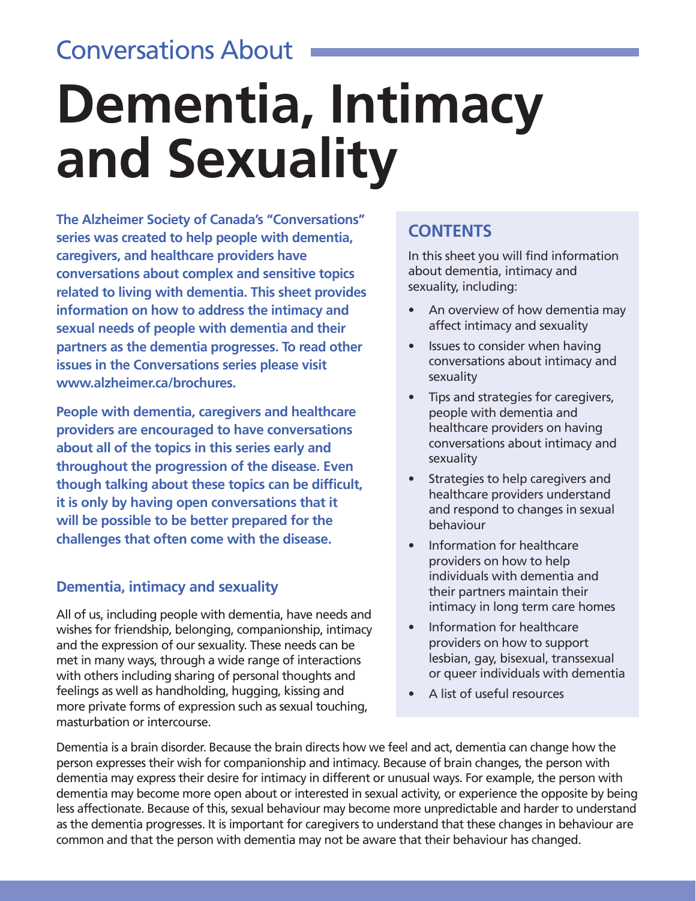### Conversations About

# **Dementia, Intimacy and Sexuality**

**The Alzheimer Society of Canada's "Conversations" series was created to help people with dementia, caregivers, and healthcare providers have conversations about complex and sensitive topics related to living with dementia. This sheet provides information on how to address the intimacy and sexual needs of people with dementia and their partners as the dementia progresses. To read other issues in the Conversations series please visit www.alzheimer.ca/brochures.** 

**People with dementia, caregivers and healthcare providers are encouraged to have conversations about all of the topics in this series early and throughout the progression of the disease. Even though talking about these topics can be difficult, it is only by having open conversations that it will be possible to be better prepared for the challenges that often come with the disease.** 

#### **Dementia, intimacy and sexuality**

All of us, including people with dementia, have needs and wishes for friendship, belonging, companionship, intimacy and the expression of our sexuality. These needs can be met in many ways, through a wide range of interactions with others including sharing of personal thoughts and feelings as well as handholding, hugging, kissing and more private forms of expression such as sexual touching, masturbation or intercourse.

#### **CONTENTS**

In this sheet you will find information about dementia, intimacy and sexuality, including:

- An overview of how dementia may affect intimacy and sexuality
- Issues to consider when having conversations about intimacy and sexuality
- Tips and strategies for caregivers, people with dementia and healthcare providers on having conversations about intimacy and sexuality
- Strategies to help caregivers and healthcare providers understand and respond to changes in sexual behaviour
- Information for healthcare providers on how to help individuals with dementia and their partners maintain their intimacy in long term care homes
- Information for healthcare providers on how to support lesbian, gay, bisexual, transsexual or queer individuals with dementia
- A list of useful resources

Dementia is a brain disorder. Because the brain directs how we feel and act, dementia can change how the person expresses their wish for companionship and intimacy. Because of brain changes, the person with dementia may express their desire for intimacy in different or unusual ways. For example, the person with dementia may become more open about or interested in sexual activity, or experience the opposite by being less affectionate. Because of this, sexual behaviour may become more unpredictable and harder to understand as the dementia progresses. It is important for caregivers to understand that these changes in behaviour are common and that the person with dementia may not be aware that their behaviour has changed.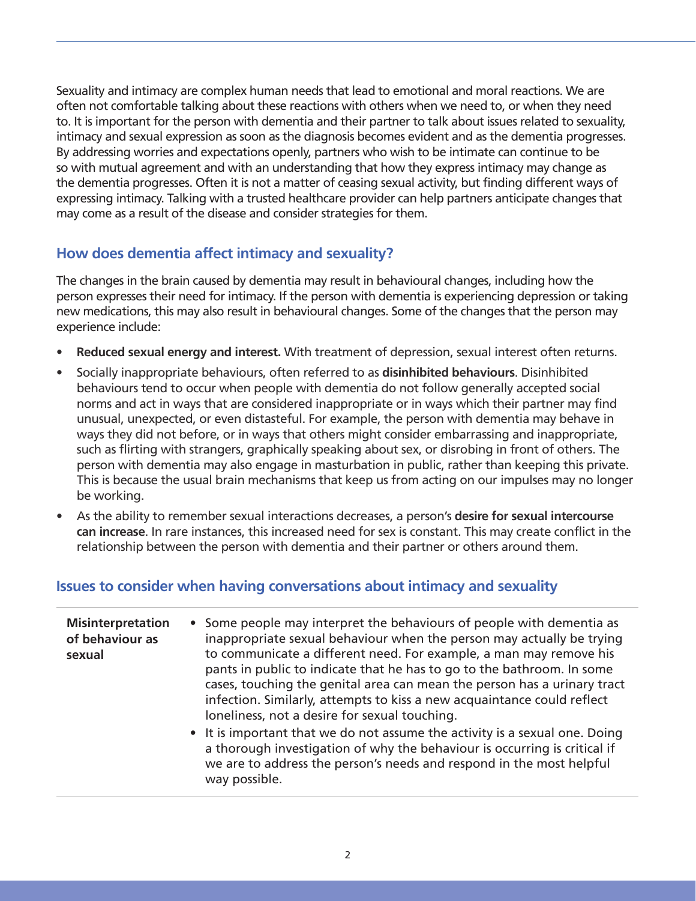Sexuality and intimacy are complex human needs that lead to emotional and moral reactions. We are often not comfortable talking about these reactions with others when we need to, or when they need to. It is important for the person with dementia and their partner to talk about issues related to sexuality, intimacy and sexual expression as soon as the diagnosis becomes evident and as the dementia progresses. By addressing worries and expectations openly, partners who wish to be intimate can continue to be so with mutual agreement and with an understanding that how they express intimacy may change as the dementia progresses. Often it is not a matter of ceasing sexual activity, but finding different ways of expressing intimacy. Talking with a trusted healthcare provider can help partners anticipate changes that may come as a result of the disease and consider strategies for them.

#### **How does dementia affect intimacy and sexuality?**

The changes in the brain caused by dementia may result in behavioural changes, including how the person expresses their need for intimacy. If the person with dementia is experiencing depression or taking new medications, this may also result in behavioural changes. Some of the changes that the person may experience include:

- **Reduced sexual energy and interest.** With treatment of depression, sexual interest often returns.
- Socially inappropriate behaviours, often referred to as **disinhibited behaviours**. Disinhibited behaviours tend to occur when people with dementia do not follow generally accepted social norms and act in ways that are considered inappropriate or in ways which their partner may find unusual, unexpected, or even distasteful. For example, the person with dementia may behave in ways they did not before, or in ways that others might consider embarrassing and inappropriate, such as flirting with strangers, graphically speaking about sex, or disrobing in front of others. The person with dementia may also engage in masturbation in public, rather than keeping this private. This is because the usual brain mechanisms that keep us from acting on our impulses may no longer be working.
- As the ability to remember sexual interactions decreases, a person's **desire for sexual intercourse can increase**. In rare instances, this increased need for sex is constant. This may create conflict in the relationship between the person with dementia and their partner or others around them.

#### **Issues to consider when having conversations about intimacy and sexuality**

| <b>Misinterpretation</b><br>of behaviour as<br>sexual | • Some people may interpret the behaviours of people with dementia as<br>inappropriate sexual behaviour when the person may actually be trying<br>to communicate a different need. For example, a man may remove his<br>pants in public to indicate that he has to go to the bathroom. In some<br>cases, touching the genital area can mean the person has a urinary tract<br>infection. Similarly, attempts to kiss a new acquaintance could reflect<br>loneliness, not a desire for sexual touching. |
|-------------------------------------------------------|--------------------------------------------------------------------------------------------------------------------------------------------------------------------------------------------------------------------------------------------------------------------------------------------------------------------------------------------------------------------------------------------------------------------------------------------------------------------------------------------------------|
|                                                       | • It is important that we do not assume the activity is a sexual one. Doing<br>a thorough investigation of why the behaviour is occurring is critical if<br>we are to address the person's needs and respond in the most helpful<br>way possible.                                                                                                                                                                                                                                                      |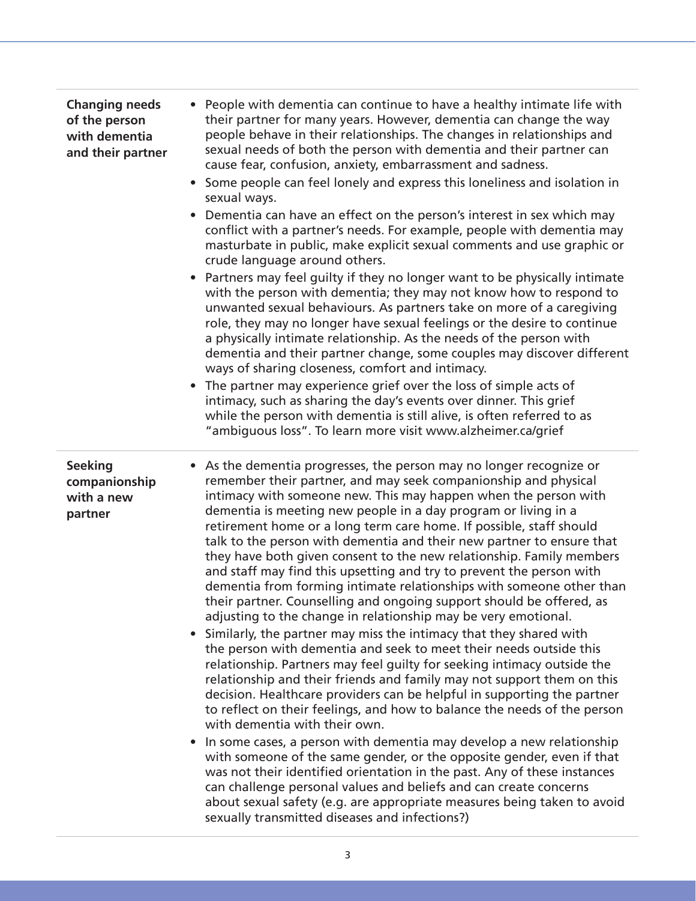| <b>Changing needs</b><br>of the person<br>with dementia<br>and their partner | • People with dementia can continue to have a healthy intimate life with<br>their partner for many years. However, dementia can change the way<br>people behave in their relationships. The changes in relationships and<br>sexual needs of both the person with dementia and their partner can<br>cause fear, confusion, anxiety, embarrassment and sadness.<br>• Some people can feel lonely and express this loneliness and isolation in<br>sexual ways.<br>Dementia can have an effect on the person's interest in sex which may<br>conflict with a partner's needs. For example, people with dementia may<br>masturbate in public, make explicit sexual comments and use graphic or<br>crude language around others.<br>Partners may feel guilty if they no longer want to be physically intimate<br>with the person with dementia; they may not know how to respond to<br>unwanted sexual behaviours. As partners take on more of a caregiving<br>role, they may no longer have sexual feelings or the desire to continue<br>a physically intimate relationship. As the needs of the person with<br>dementia and their partner change, some couples may discover different<br>ways of sharing closeness, comfort and intimacy.<br>The partner may experience grief over the loss of simple acts of<br>intimacy, such as sharing the day's events over dinner. This grief<br>while the person with dementia is still alive, is often referred to as<br>"ambiguous loss". To learn more visit www.alzheimer.ca/grief                                                                                                                                                                                                |
|------------------------------------------------------------------------------|-------------------------------------------------------------------------------------------------------------------------------------------------------------------------------------------------------------------------------------------------------------------------------------------------------------------------------------------------------------------------------------------------------------------------------------------------------------------------------------------------------------------------------------------------------------------------------------------------------------------------------------------------------------------------------------------------------------------------------------------------------------------------------------------------------------------------------------------------------------------------------------------------------------------------------------------------------------------------------------------------------------------------------------------------------------------------------------------------------------------------------------------------------------------------------------------------------------------------------------------------------------------------------------------------------------------------------------------------------------------------------------------------------------------------------------------------------------------------------------------------------------------------------------------------------------------------------------------------------------------------------------------------------------------------------------------------------------------------|
| <b>Seeking</b><br>companionship<br>with a new<br>partner                     | • As the dementia progresses, the person may no longer recognize or<br>remember their partner, and may seek companionship and physical<br>intimacy with someone new. This may happen when the person with<br>dementia is meeting new people in a day program or living in a<br>retirement home or a long term care home. If possible, staff should<br>talk to the person with dementia and their new partner to ensure that<br>they have both given consent to the new relationship. Family members<br>and staff may find this upsetting and try to prevent the person with<br>dementia from forming intimate relationships with someone other than<br>their partner. Counselling and ongoing support should be offered, as<br>adjusting to the change in relationship may be very emotional.<br>• Similarly, the partner may miss the intimacy that they shared with<br>the person with dementia and seek to meet their needs outside this<br>relationship. Partners may feel guilty for seeking intimacy outside the<br>relationship and their friends and family may not support them on this<br>decision. Healthcare providers can be helpful in supporting the partner<br>to reflect on their feelings, and how to balance the needs of the person<br>with dementia with their own.<br>In some cases, a person with dementia may develop a new relationship<br>with someone of the same gender, or the opposite gender, even if that<br>was not their identified orientation in the past. Any of these instances<br>can challenge personal values and beliefs and can create concerns<br>about sexual safety (e.g. are appropriate measures being taken to avoid<br>sexually transmitted diseases and infections?) |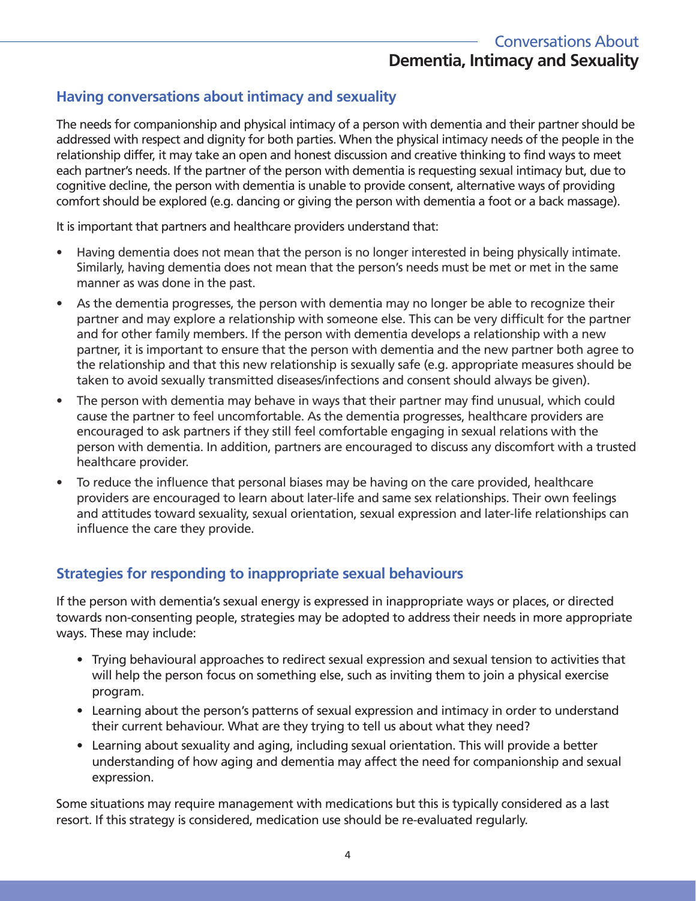#### **Having conversations about intimacy and sexuality**

The needs for companionship and physical intimacy of a person with dementia and their partner should be addressed with respect and dignity for both parties. When the physical intimacy needs of the people in the relationship differ, it may take an open and honest discussion and creative thinking to find ways to meet each partner's needs. If the partner of the person with dementia is requesting sexual intimacy but, due to cognitive decline, the person with dementia is unable to provide consent, alternative ways of providing comfort should be explored (e.g. dancing or giving the person with dementia a foot or a back massage).

It is important that partners and healthcare providers understand that:

- Having dementia does not mean that the person is no longer interested in being physically intimate. Similarly, having dementia does not mean that the person's needs must be met or met in the same manner as was done in the past.
- As the dementia progresses, the person with dementia may no longer be able to recognize their partner and may explore a relationship with someone else. This can be very difficult for the partner and for other family members. If the person with dementia develops a relationship with a new partner, it is important to ensure that the person with dementia and the new partner both agree to the relationship and that this new relationship is sexually safe (e.g. appropriate measures should be taken to avoid sexually transmitted diseases/infections and consent should always be given).
- The person with dementia may behave in ways that their partner may find unusual, which could cause the partner to feel uncomfortable. As the dementia progresses, healthcare providers are encouraged to ask partners if they still feel comfortable engaging in sexual relations with the person with dementia. In addition, partners are encouraged to discuss any discomfort with a trusted healthcare provider.
- To reduce the influence that personal biases may be having on the care provided, healthcare providers are encouraged to learn about later-life and same sex relationships. Their own feelings and attitudes toward sexuality, sexual orientation, sexual expression and later-life relationships can influence the care they provide.

#### **Strategies for responding to inappropriate sexual behaviours**

If the person with dementia's sexual energy is expressed in inappropriate ways or places, or directed towards non-consenting people, strategies may be adopted to address their needs in more appropriate ways. These may include:

- Trying behavioural approaches to redirect sexual expression and sexual tension to activities that will help the person focus on something else, such as inviting them to join a physical exercise program.
- Learning about the person's patterns of sexual expression and intimacy in order to understand their current behaviour. What are they trying to tell us about what they need?
- Learning about sexuality and aging, including sexual orientation. This will provide a better understanding of how aging and dementia may affect the need for companionship and sexual expression.

Some situations may require management with medications but this is typically considered as a last resort. If this strategy is considered, medication use should be re-evaluated regularly.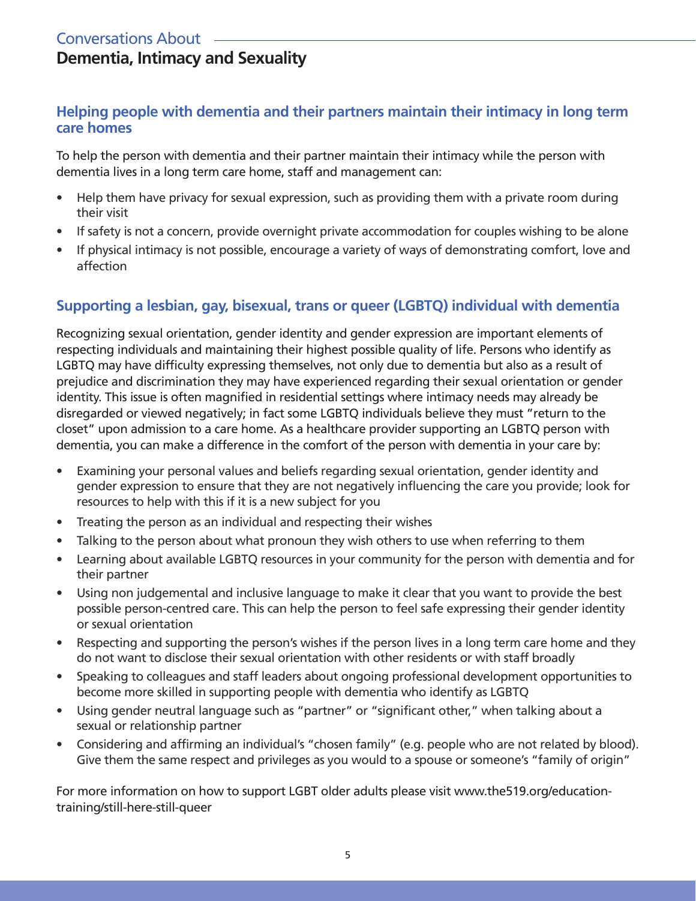#### Conversations About **Dementia, Intimacy and Sexuality**

#### **Helping people with dementia and their partners maintain their intimacy in long term care homes**

To help the person with dementia and their partner maintain their intimacy while the person with dementia lives in a long term care home, staff and management can:

- Help them have privacy for sexual expression, such as providing them with a private room during their visit
- If safety is not a concern, provide overnight private accommodation for couples wishing to be alone
- If physical intimacy is not possible, encourage a variety of ways of demonstrating comfort, love and affection

#### **Supporting a lesbian, gay, bisexual, trans or queer (LGBTQ) individual with dementia**

Recognizing sexual orientation, gender identity and gender expression are important elements of respecting individuals and maintaining their highest possible quality of life. Persons who identify as LGBTQ may have difficulty expressing themselves, not only due to dementia but also as a result of prejudice and discrimination they may have experienced regarding their sexual orientation or gender identity. This issue is often magnified in residential settings where intimacy needs may already be disregarded or viewed negatively; in fact some LGBTQ individuals believe they must "return to the closet" upon admission to a care home. As a healthcare provider supporting an LGBTQ person with dementia, you can make a difference in the comfort of the person with dementia in your care by:

- Examining your personal values and beliefs regarding sexual orientation, gender identity and gender expression to ensure that they are not negatively influencing the care you provide; look for resources to help with this if it is a new subject for you
- Treating the person as an individual and respecting their wishes
- Talking to the person about what pronoun they wish others to use when referring to them
- Learning about available LGBTQ resources in your community for the person with dementia and for their partner
- Using non judgemental and inclusive language to make it clear that you want to provide the best possible person-centred care. This can help the person to feel safe expressing their gender identity or sexual orientation
- Respecting and supporting the person's wishes if the person lives in a long term care home and they do not want to disclose their sexual orientation with other residents or with staff broadly
- Speaking to colleagues and staff leaders about ongoing professional development opportunities to become more skilled in supporting people with dementia who identify as LGBTQ
- Using gender neutral language such as "partner" or "significant other," when talking about a sexual or relationship partner
- Considering and affirming an individual's "chosen family" (e.g. people who are not related by blood). Give them the same respect and privileges as you would to a spouse or someone's "family of origin"

For more information on how to support LGBT older adults please visit www.the519.org/educationtraining/still-here-still-queer